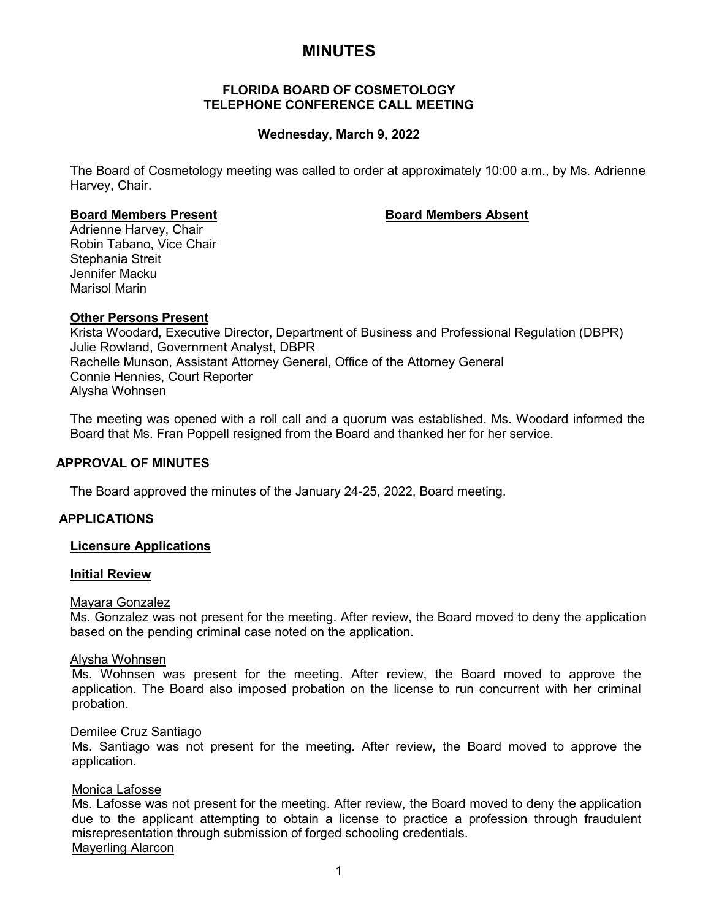# **MINUTES**

# **FLORIDA BOARD OF COSMETOLOGY TELEPHONE CONFERENCE CALL MEETING**

# **Wednesday, March 9, 2022**

The Board of Cosmetology meeting was called to order at approximately 10:00 a.m., by Ms. Adrienne Harvey, Chair.

### **Board Members Present Board Members Absent**

Adrienne Harvey, Chair Robin Tabano, Vice Chair Stephania Streit Jennifer Macku Marisol Marin

# **Other Persons Present**

Krista Woodard, Executive Director, Department of Business and Professional Regulation (DBPR) Julie Rowland, Government Analyst, DBPR Rachelle Munson, Assistant Attorney General, Office of the Attorney General Connie Hennies, Court Reporter Alysha Wohnsen

The meeting was opened with a roll call and a quorum was established. Ms. Woodard informed the Board that Ms. Fran Poppell resigned from the Board and thanked her for her service.

# **APPROVAL OF MINUTES**

The Board approved the minutes of the January 24-25, 2022, Board meeting.

#### **APPLICATIONS**

#### **Licensure Applications**

#### **Initial Review**

#### Mayara Gonzalez

Ms. Gonzalez was not present for the meeting. After review, the Board moved to deny the application based on the pending criminal case noted on the application.

### Alysha Wohnsen

Ms. Wohnsen was present for the meeting. After review, the Board moved to approve the application. The Board also imposed probation on the license to run concurrent with her criminal probation.

#### Demilee Cruz Santiago

Ms. Santiago was not present for the meeting. After review, the Board moved to approve the application.

### Monica Lafosse

Ms. Lafosse was not present for the meeting. After review, the Board moved to deny the application due to the applicant attempting to obtain a license to practice a profession through fraudulent misrepresentation through submission of forged schooling credentials. Mayerling Alarcon